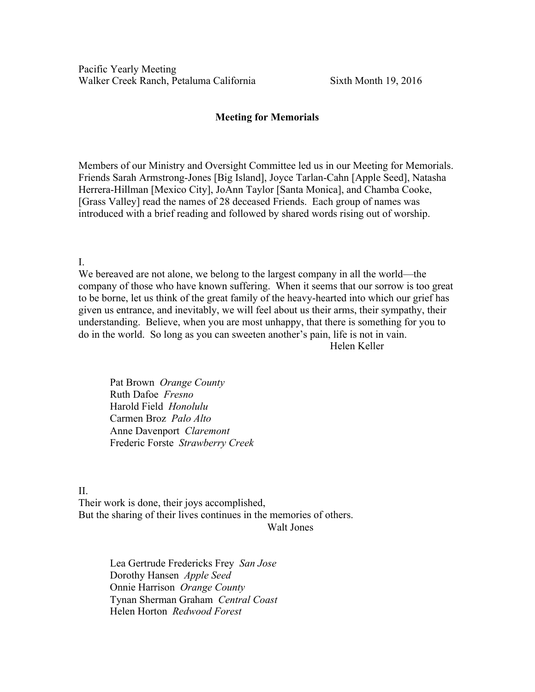## Meeting for Memorials

Members of our Ministry and Oversight Committee led us in our Meeting for Memorials. Friends Sarah Armstrong-Jones [Big Island], Joyce Tarlan-Cahn [Apple Seed], Natasha Herrera-Hillman [Mexico City], JoAnn Taylor [Santa Monica], and Chamba Cooke, [Grass Valley] read the names of 28 deceased Friends. Each group of names was introduced with a brief reading and followed by shared words rising out of worship.

I.

We bereaved are not alone, we belong to the largest company in all the world—the company of those who have known suffering. When it seems that our sorrow is too great to be borne, let us think of the great family of the heavy-hearted into which our grief has given us entrance, and inevitably, we will feel about us their arms, their sympathy, their understanding. Believe, when you are most unhappy, that there is something for you to do in the world. So long as you can sweeten another's pain, life is not in vain. Helen Keller

Pat Brown *Orange County* Ruth Dafoe *Fresno* Harold Field *Honolulu* Carmen Broz *Palo Alto* Anne Davenport *Claremont* Frederic Forste *Strawberry Creek*

II.

Their work is done, their joys accomplished, But the sharing of their lives continues in the memories of others. Walt Jones

> Lea Gertrude Fredericks Frey *San Jose* Dorothy Hansen *Apple Seed* Onnie Harrison *Orange County* Tynan Sherman Graham *Central Coast* Helen Horton *Redwood Forest*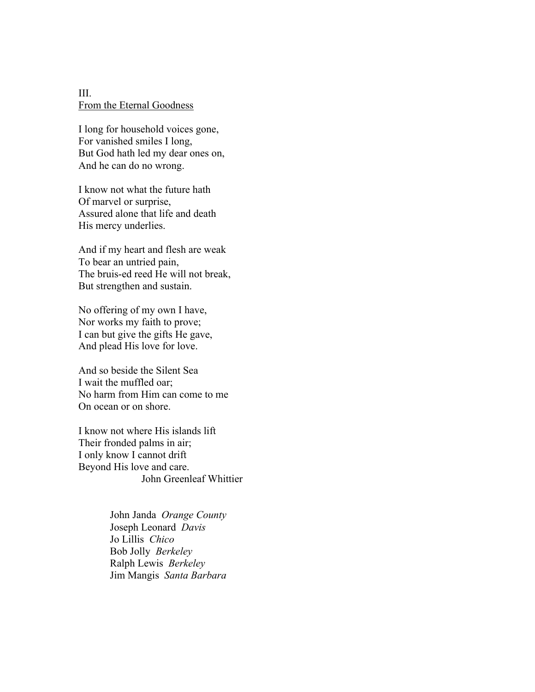III. From the Eternal Goodness

I long for household voices gone, For vanished smiles I long, But God hath led my dear ones on, And he can do no wrong.

I know not what the future hath Of marvel or surprise, Assured alone that life and death His mercy underlies.

And if my heart and flesh are weak To bear an untried pain, The bruis-ed reed He will not break, But strengthen and sustain.

No offering of my own I have, Nor works my faith to prove; I can but give the gifts He gave, And plead His love for love.

And so beside the Silent Sea I wait the muffled oar; No harm from Him can come to me On ocean or on shore.

I know not where His islands lift Their fronded palms in air; I only know I cannot drift Beyond His love and care. John Greenleaf Whittier

> John Janda *Orange County* Joseph Leonard *Davis* Jo Lillis *Chico* Bob Jolly *Berkeley* Ralph Lewis *Berkeley* Jim Mangis *Santa Barbara*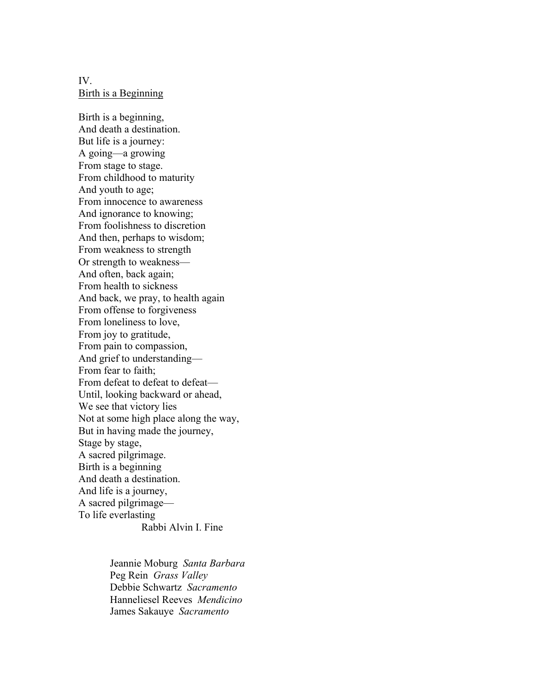IV. Birth is a Beginning

Birth is a beginning, And death a destination. But life is a journey: A going—a growing From stage to stage. From childhood to maturity And youth to age; From innocence to awareness And ignorance to knowing; From foolishness to discretion And then, perhaps to wisdom; From weakness to strength Or strength to weakness— And often, back again; From health to sickness And back, we pray, to health again From offense to forgiveness From loneliness to love, From joy to gratitude, From pain to compassion, And grief to understanding— From fear to faith; From defeat to defeat-Until, looking backward or ahead, We see that victory lies Not at some high place along the way, But in having made the journey, Stage by stage, A sacred pilgrimage. Birth is a beginning And death a destination. And life is a journey, A sacred pilgrimage— To life everlasting Rabbi Alvin I. Fine

> Jeannie Moburg *Santa Barbara* Peg Rein *Grass Valley* Debbie Schwartz *Sacramento* Hanneliesel Reeves *Mendicino* James Sakauye *Sacramento*